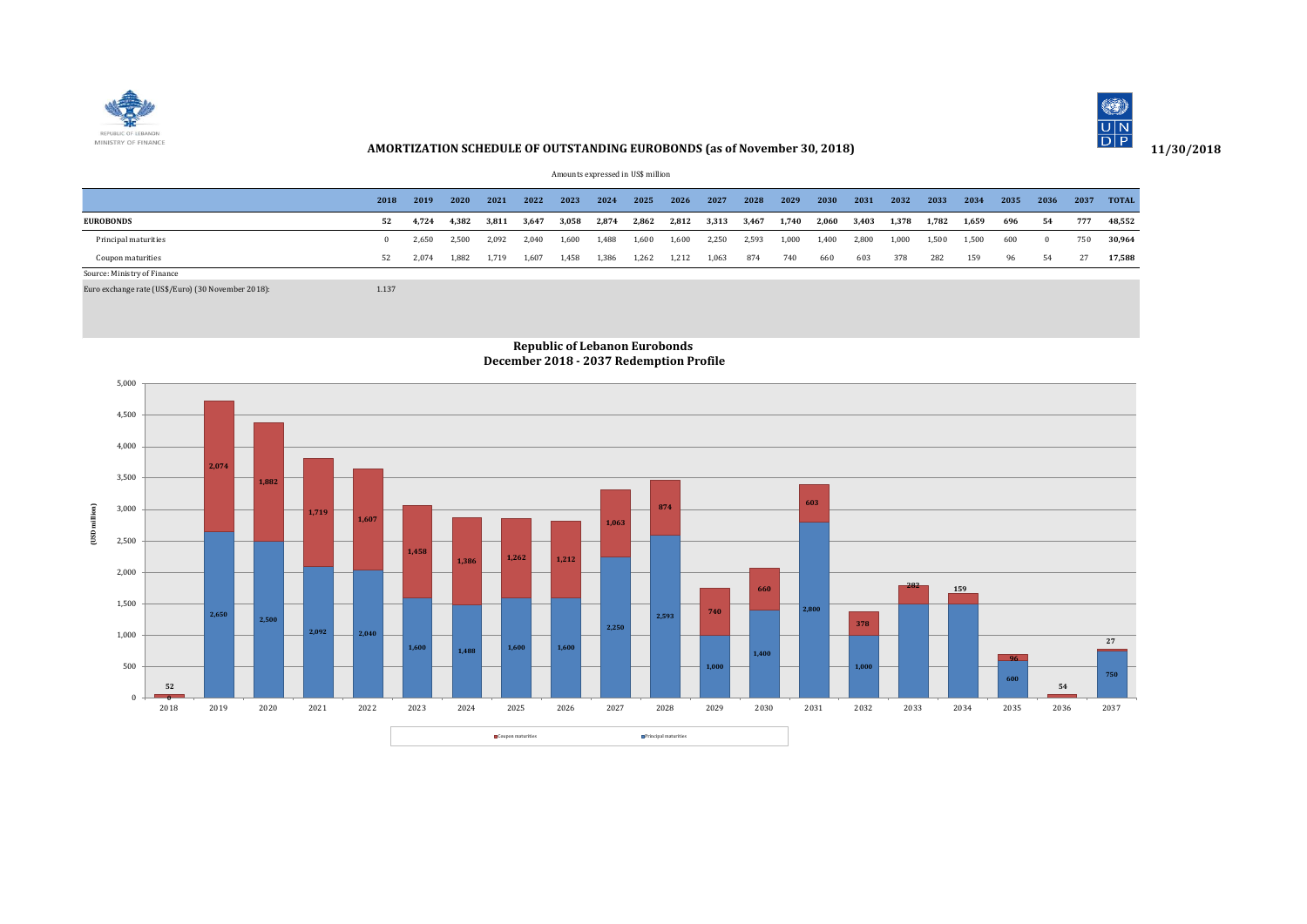



## **AMORTIZATION SCHEDULE OF OUTSTANDING EUROBONDS (as of November 30, 2018)**

Amounts expressed in US\$ million

|                                                    | 2018  | 2019  | 2020  | 2021  | 2022  | 2023  | 2024  | 2025  | 2026  | 2027  | 2028  | 2029  | 2030  | 2031  | 2032  | 2033  | 2034  | 2035 | 2036     | 2037 | <b>TOTAL</b> |
|----------------------------------------------------|-------|-------|-------|-------|-------|-------|-------|-------|-------|-------|-------|-------|-------|-------|-------|-------|-------|------|----------|------|--------------|
| <b>EUROBONDS</b>                                   | 52    | 4.724 | 4,382 | 3,811 | 3,647 | 3,058 | 2,874 | 2,862 | 2,812 | 3,313 | 3,467 | 1,740 | 2,060 | 3,403 | 1,378 | 1,782 | 1,659 | 696  | 54       | 777  | 48,552       |
| Principal maturities                               |       | 2,650 | 2,500 | 2,092 | 2.040 | 1,600 | 1,488 | 1,600 | 1,600 | 2,250 | 2,593 | 1,000 | 1,400 | 2,800 | 1,000 | 1,500 | 1,500 | 600  | $\Omega$ | 750  | 30,964       |
| Coupon maturities                                  | 52    | 2.074 | 1,882 | 1,719 | 1,607 | 1,458 | 1,386 | 1,262 | 1,212 | 1,063 | 874   | 740   | 660   | 603   | 378   | 282   | 159   | 96   | 54       | 27   | 17,588       |
| Source: Ministry of Finance                        |       |       |       |       |       |       |       |       |       |       |       |       |       |       |       |       |       |      |          |      |              |
| Euro exchange rate (US\$/Euro) (30 November 2018): | 1.137 |       |       |       |       |       |       |       |       |       |       |       |       |       |       |       |       |      |          |      |              |



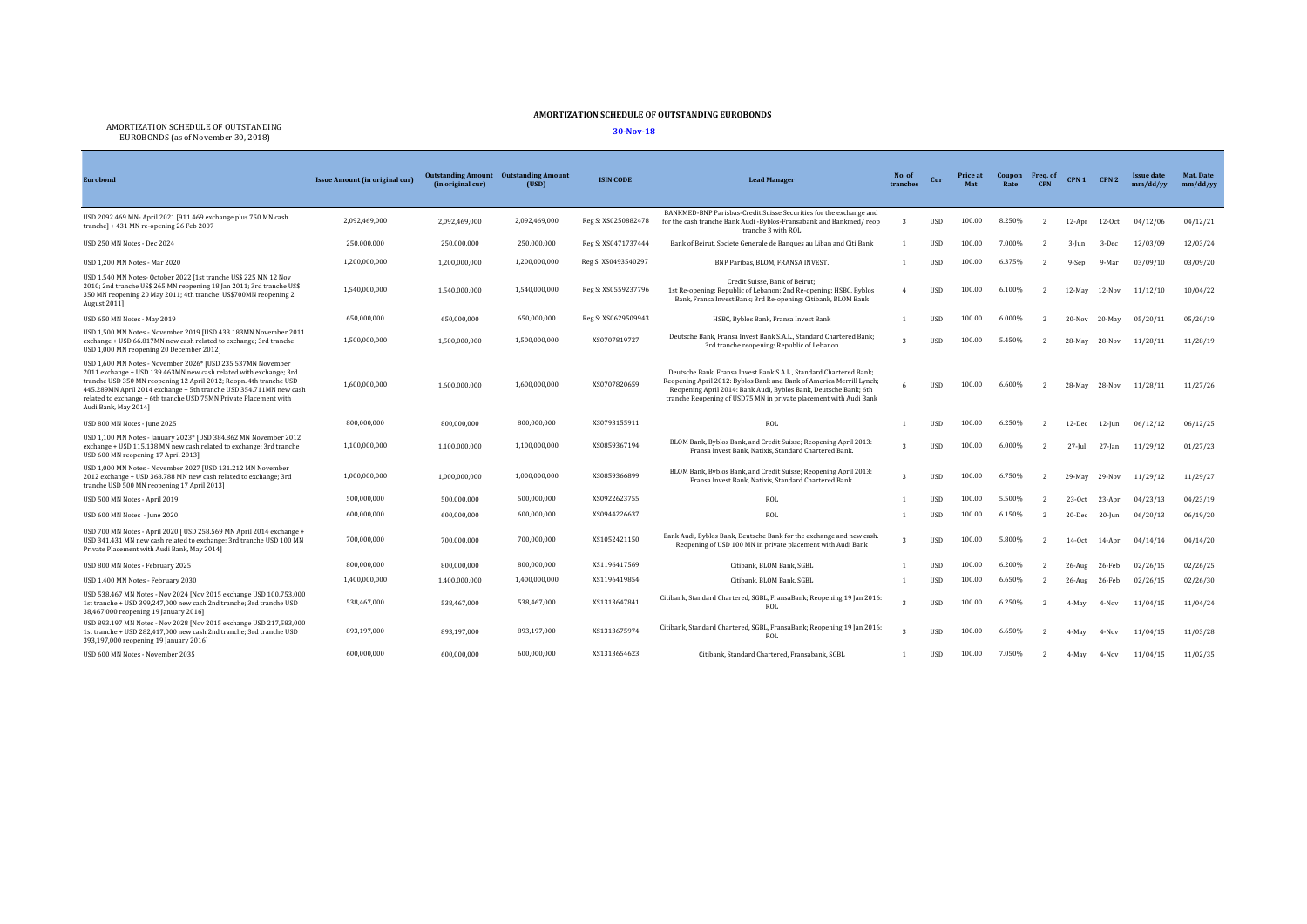## **AMORTIZATION SCHEDULE OF OUTSTANDING EUROBONDS**

AMORTIZATION SCHEDULE OF OUTSTANDING EUROBONDS (as of November 30, 2018) **30-Nov-18**

| <b>Eurobond</b>                                                                                                                                                                                                                                                                                                                                                           | Issue Amount (in original cur) | (in original cur) | <b>Outstanding Amount</b> Outstanding Amount<br>(USD) | <b>ISIN CODE</b>    | <b>Lead Manager</b>                                                                                                                                                                                                                                                                 | No. of<br>tranches | Cur         | Price at | <b>Coupon</b><br>Rate | Freq. of<br><b>CPN</b>   | CPN <sub>1</sub> | CPN <sub>2</sub> | <b>Issue date</b><br>mm/dd/yy | Mat. Date<br>mm/dd/yy |
|---------------------------------------------------------------------------------------------------------------------------------------------------------------------------------------------------------------------------------------------------------------------------------------------------------------------------------------------------------------------------|--------------------------------|-------------------|-------------------------------------------------------|---------------------|-------------------------------------------------------------------------------------------------------------------------------------------------------------------------------------------------------------------------------------------------------------------------------------|--------------------|-------------|----------|-----------------------|--------------------------|------------------|------------------|-------------------------------|-----------------------|
| USD 2092.469 MN- April 2021 [911.469 exchange plus 750 MN cash<br>tranche] + 431 MN re-opening 26 Feb 2007                                                                                                                                                                                                                                                                | 2,092,469,000                  | 2.092.469.000     | 2,092,469,000                                         | Reg S: XS0250882478 | BANKMED-BNP Parisbas-Credit Suisse Securities for the exchange and<br>for the cash tranche Bank Audi -Byblos-Fransabank and Bankmed/reop<br>tranche 3 with ROL                                                                                                                      | 3                  | <b>USD</b>  | 100.00   | 8.250%                |                          | $12-Apr$         | $12-Oct$         | 04/12/06                      | 04/12/21              |
| USD 250 MN Notes - Dec 2024                                                                                                                                                                                                                                                                                                                                               | 250,000,000                    | 250,000,000       | 250,000,000                                           | Reg S: XS0471737444 | Bank of Beirut, Societe Generale de Banques au Liban and Citi Bank                                                                                                                                                                                                                  |                    | <b>USD</b>  | 100.00   | 7.000%                |                          | $3 - lun$        | 3-Dec            | 12/03/09                      | 12/03/24              |
| USD 1.200 MN Notes - Mar 2020                                                                                                                                                                                                                                                                                                                                             | 1.200.000.000                  | 1.200.000.000     | 1.200.000.000                                         | Reg S: XS0493540297 | BNP Paribas, BLOM, FRANSA INVEST.                                                                                                                                                                                                                                                   |                    | <b>USD</b>  | 100.00   | 6.375%                |                          | 9-Sep            | 9-Mar            | 03/09/10                      | 03/09/20              |
| USD 1,540 MN Notes- October 2022 [1st tranche US\$ 225 MN 12 Nov<br>2010; 2nd tranche US\$ 265 MN reopening 18 Jan 2011; 3rd tranche US\$<br>350 MN reopening 20 May 2011; 4th tranche: US\$700MN reopening 2<br>August 2011]                                                                                                                                             | 1.540.000.000                  | 1,540,000,000     | 1.540.000.000                                         | Reg S: XS0559237796 | Credit Suisse, Bank of Beirut:<br>1st Re-opening: Republic of Lebanon; 2nd Re-opening: HSBC, Byblos<br>Bank, Fransa Invest Bank; 3rd Re-opening: Citibank, BLOM Bank                                                                                                                |                    | <b>USD</b>  | 100.00   | 6.100%                |                          | 12-May           | 12-Nov           | 11/12/10                      | 10/04/22              |
| USD 650 MN Notes - May 2019                                                                                                                                                                                                                                                                                                                                               | 650.000.000                    | 650,000,000       | 650,000,000                                           | Reg S: XS0629509943 | HSBC, Byblos Bank, Fransa Invest Bank                                                                                                                                                                                                                                               |                    | <b>USD</b>  | 100.00   | 6.000%                |                          | $20 - Nov$       | $20-May$         | 05/20/11                      | 05/20/19              |
| USD 1,500 MN Notes - November 2019 [USD 433.183MN November 2011<br>exchange + USD 66.817MN new cash related to exchange; 3rd tranche<br>USD 1,000 MN reopening 20 December 2012]                                                                                                                                                                                          | 1,500,000,000                  | 1.500.000.000     | 1,500,000,000                                         | XS0707819727        | Deutsche Bank, Fransa Invest Bank S.A.L., Standard Chartered Bank:<br>3rd tranche reopening: Republic of Lebanon                                                                                                                                                                    |                    | <b>USD</b>  | 100.00   | 5.450%                | $\overline{\phantom{a}}$ | $28-Mav$         | 28-Nov           | 11/28/11                      | 11/28/19              |
| USD 1,600 MN Notes - November 2026* [USD 235.537MN November<br>2011 exchange + USD 139.463MN new cash related with exchange; 3rd<br>tranche USD 350 MN reopening 12 April 2012; Reopn. 4th tranche USD<br>445.289MN April 2014 exchange + 5th tranche USD 354.711MN new cash<br>related to exchange + 6th tranche USD 75MN Private Placement with<br>Audi Bank, May 2014] | 1.600.000.000                  | 1.600.000.000     | 1,600,000,000                                         | XS0707820659        | Deutsche Bank, Fransa Invest Bank S.A.L., Standard Chartered Bank:<br>Reopening April 2012: Byblos Bank and Bank of America Merrill Lynch;<br>Reopening April 2014: Bank Audi, Byblos Bank, Deutsche Bank; 6th<br>tranche Reopening of USD75 MN in private placement with Audi Bank |                    | <b>IISD</b> | 100.00   | 6.600%                |                          | 28-May           | 28-Nov           | 11/28/11                      | 11/27/26              |
| USD 800 MN Notes - June 2025                                                                                                                                                                                                                                                                                                                                              | 800,000,000                    | 800,000,000       | 800.000.000                                           | XS0793155911        | ROL                                                                                                                                                                                                                                                                                 |                    | <b>USD</b>  | 100.00   | 6.250%                |                          | $12$ -Dec        | 12-Iun           | 06/12/12                      | 06/12/25              |
| USD 1,100 MN Notes - January 2023* [USD 384.862 MN November 2012<br>exchange + USD 115.138 MN new cash related to exchange; 3rd tranche<br>USD 600 MN reopening 17 April 2013]                                                                                                                                                                                            | 1,100,000,000                  | 1.100.000.000     | 1,100,000,000                                         | XS0859367194        | BLOM Bank, Byblos Bank, and Credit Suisse; Reopening April 2013:<br>Fransa Invest Bank, Natixis, Standard Chartered Bank.                                                                                                                                                           |                    | <b>USD</b>  | 100.00   | 6.000%                |                          | $27 - Iul$       | $27$ -Jan        | 11/29/12                      | 01/27/23              |
| USD 1,000 MN Notes - November 2027 [USD 131.212 MN November<br>2012 exchange + USD 368.788 MN new cash related to exchange; 3rd<br>tranche USD 500 MN reopening 17 April 2013]                                                                                                                                                                                            | 1.000.000.000                  | 1.000.000.000     | 1.000.000.000                                         | XS0859366899        | BLOM Bank, Byblos Bank, and Credit Suisse; Reopening April 2013:<br>Fransa Invest Bank, Natixis, Standard Chartered Bank,                                                                                                                                                           |                    | <b>USD</b>  | 100.00   | 6.750%                |                          | 29-May           | 29-Nov           | 11/29/12                      | 11/29/27              |
| USD 500 MN Notes - April 2019                                                                                                                                                                                                                                                                                                                                             | 500.000.000                    | 500.000.000       | 500.000.000                                           | XS0922623755        | ROL                                                                                                                                                                                                                                                                                 |                    | <b>USD</b>  | 100.00   | 5.500%                |                          | $23-0ct$         | 23-Apr           | 04/23/13                      | 04/23/19              |
| USD 600 MN Notes - June 2020                                                                                                                                                                                                                                                                                                                                              | 600.000.000                    | 600,000,000       | 600.000.000                                           | XS0944226637        | ROL                                                                                                                                                                                                                                                                                 |                    | <b>USD</b>  | 100.00   | 6.150%                |                          | 20-Dec           | 20-Jun           | 06/20/13                      | 06/19/20              |
| USD 700 MN Notes - April 2020 [ USD 258.569 MN April 2014 exchange +<br>USD 341.431 MN new cash related to exchange; 3rd tranche USD 100 MN<br>Private Placement with Audi Bank, May 2014]                                                                                                                                                                                | 700.000.000                    | 700,000,000       | 700.000.000                                           | XS1052421150        | Bank Audi, Byblos Bank, Deutsche Bank for the exchange and new cash.<br>Reopening of USD 100 MN in private placement with Audi Bank                                                                                                                                                 | $\mathcal{R}$      | <b>IISD</b> | 100.00   | 5.800%                |                          | $14-0ct$         | 14-Apr           | 04/14/14                      | 04/14/20              |
| USD 800 MN Notes - February 2025                                                                                                                                                                                                                                                                                                                                          | 800.000.000                    | 800,000,000       | 800,000,000                                           | XS1196417569        | Citibank, BLOM Bank, SGBL                                                                                                                                                                                                                                                           |                    | <b>USD</b>  | 100.00   | 6.200%                |                          | $26$ -Aug        | 26-Feb           | 02/26/15                      | 02/26/25              |
| USD 1,400 MN Notes - February 2030                                                                                                                                                                                                                                                                                                                                        | 1.400.000.000                  | 1,400,000,000     | 1.400.000.000                                         | XS1196419854        | Citibank, BLOM Bank, SGBL                                                                                                                                                                                                                                                           |                    | <b>USD</b>  | 100.00   | 6.650%                |                          | $26 - Aug$       | 26-Feb           | 02/26/15                      | 02/26/30              |
| USD 538.467 MN Notes - Nov 2024 [Nov 2015 exchange USD 100,753,000<br>1st tranche + USD 399,247,000 new cash 2nd tranche; 3rd tranche USD<br>38,467,000 reopening 19 January 2016]                                                                                                                                                                                        | 538,467,000                    | 538,467,000       | 538.467.000                                           | XS1313647841        | Citibank, Standard Chartered, SGBL, FransaBank; Reopening 19 Jan 2016:<br>ROL                                                                                                                                                                                                       | $\mathbf{z}$       | <b>IISD</b> | 100.00   | 6.250%                |                          | 4-May            | 4-Nov            | 11/04/15                      | 11/04/24              |
| USD 893.197 MN Notes - Nov 2028 [Nov 2015 exchange USD 217,583,000<br>1st tranche + USD 282,417,000 new cash 2nd tranche; 3rd tranche USD<br>393,197,000 reopening 19 January 2016]                                                                                                                                                                                       | 893.197.000                    | 893,197,000       | 893.197.000                                           | XS1313675974        | Citibank, Standard Chartered, SGBL, FransaBank; Reopening 19 Jan 2016:<br>ROL                                                                                                                                                                                                       |                    | <b>IISD</b> | 100.00   | 6.650%                |                          | 4-May            | 4-Nov            | 11/04/15                      | 11/03/28              |
| USD 600 MN Notes - November 2035                                                                                                                                                                                                                                                                                                                                          | 600.000.000                    | 600,000,000       | 600.000.000                                           | XS1313654623        | Citibank, Standard Chartered, Fransabank, SGBL                                                                                                                                                                                                                                      |                    | <b>USD</b>  | 100.00   | 7.050%                |                          | 4-May            | 4-Nov            | 11/04/15                      | 11/02/35              |